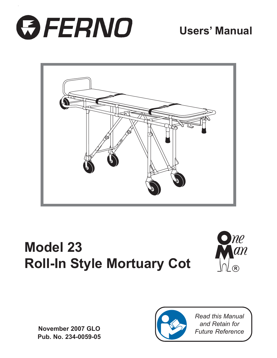

# **Users' Manual**



# **Model 23 Roll-In Style Mortuary Cot**







*Read this Manual and Retain for*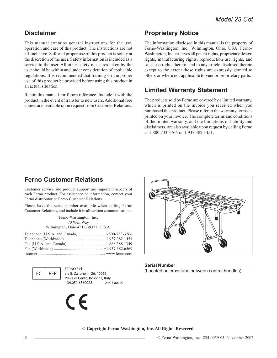#### **Disclaimer**

This manual contains general instructions for the use, operation and care of this product. The instructions are not all-inclusive. Safe and proper use of this product is solely at the discretion of the user. Safety information is included as a service to the user. All other safety measures taken by the user should be within and under consideration of applicable regulations. It is recommended that training on the proper use of this product be provided before using this product in an actual situation.

Retain this manual for future reference. Include it with the product in the event of transfer to new users. Additional free copies are available upon request from Customer Relations.

#### **Proprietary Notice**

The information disclosed in this manual is the property of Ferno-Washington, Inc., Wilmington, Ohio, USA. Ferno-Washington, Inc. reserves all patent rights, proprietary design rights, manufacturing rights, reproduction use rights, and sales use rights thereto, and to any article disclosed therein except to the extent those rights are expressly granted to others or where not applicable to vendor proprietary parts.

#### **Limited Warranty Statement**

The products sold by Ferno are covered by a limited warranty, which is printed on the invoice you received when you purchased this product. Please refer to the warranty terms as printed on your invoice. The complete terms and conditions of the limited warranty, and the limitations of liability and disclaimers, are also available upon request by calling Ferno at 1.800.733.3766 or 1.937.382.1451.

#### **Ferno Customer Relations**

Customer service and product support are important aspects of each Ferno product. For assistance or information, contact your Ferno distributor or Ferno Customer Relations.

Please have the serial number available when calling Ferno Customer Relations, and include it in all written communications.

> Ferno-Washington, Inc. 70 Weil Way Wilmington, Ohio 45177-9371, U.S.A.

 $\epsilon$ 



FERNO S.r.l. via B. Zallone, n. 26, 40066 Pieve di Cento, Bologna, Italy +39.051.6860028 234-3468-02



#### **Serial Number** (Located on crosstube between control handles)

**© Copyright Ferno-Washington, Inc. All Rights Reserved.**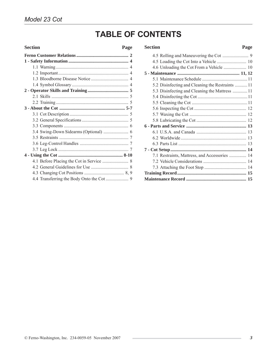# **TABLE OF CONTENTS**

| <b>Section</b><br>Page | <b>Section</b>                                   | Page |
|------------------------|--------------------------------------------------|------|
|                        |                                                  |      |
|                        |                                                  |      |
|                        | 4.6 Unloading the Cot From a Vehicle  10         |      |
|                        |                                                  |      |
|                        |                                                  |      |
|                        | 5.2 Disinfecting and Cleaning the Restraints  11 |      |
|                        | 5.3 Disinfecting and Cleaning the Mattress  11   |      |
|                        |                                                  |      |
|                        |                                                  |      |
|                        |                                                  |      |
|                        |                                                  |      |
|                        |                                                  |      |
|                        |                                                  |      |
|                        |                                                  |      |
|                        |                                                  |      |
|                        |                                                  |      |
|                        |                                                  |      |
|                        | 7.1 Restraints, Mattress, and Accessories  14    |      |
|                        |                                                  |      |
|                        |                                                  |      |
|                        |                                                  |      |
|                        |                                                  |      |

| 4.6 Unloading the Cot From a Vehicle  10         |  |
|--------------------------------------------------|--|
|                                                  |  |
|                                                  |  |
| 5.2 Disinfecting and Cleaning the Restraints  11 |  |
| 5.3 Disinfecting and Cleaning the Mattress  11   |  |
|                                                  |  |
|                                                  |  |
|                                                  |  |
|                                                  |  |
|                                                  |  |
|                                                  |  |
|                                                  |  |
|                                                  |  |
|                                                  |  |
|                                                  |  |
| 7.1 Restraints, Mattress, and Accessories  14    |  |
|                                                  |  |
|                                                  |  |
|                                                  |  |
|                                                  |  |
|                                                  |  |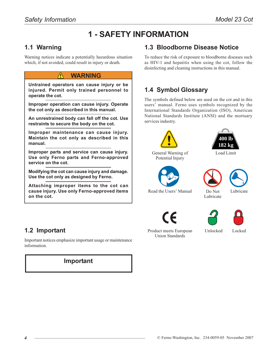# **1 - SAFETY INFORMATION**

#### **1.1 Warning**

Warning notices indicate a potentially hazardous situation which, if not avoided, could result in injury or death.

#### **WARNING**

**Untrained operators can cause injury or be injured. Permit only trained personnel to operate the cot.**

**Improper operation can cause injury. Operate the cot only as described in this manual.**

**An unrestrained body can fall off the cot. Use restraints to secure the body on the cot.**

**Improper maintenance can cause injury. Maintain the cot only as described in this manual.**

**Improper parts and service can cause injury. Use only Ferno parts and Ferno-approved service on the cot.**

**Modifying the cot can cause injury and damage. Use the cot only as designed by Ferno.**

**Attaching improper items to the cot can cause injury. Use only Ferno-approved items on the cot.**

#### **1.2 Important**

Important notices emphasize important usage or maintenance information.

#### **Important**

#### **1.3 Bloodborne Disease Notice**

To reduce the risk of exposure to bloodborne diseases such as HIV-1 and hepatitis when using the cot, follow the disinfecting and cleaning instructions in this manual.

#### **1.4 Symbol Glossary**

The symbols defined below are used on the cot and in this users' manual. Ferno uses symbols recognized by the International Standards Organization (ISO), American National Standards Institute (ANSI) and the mortuary services industry.

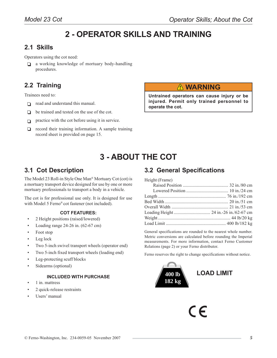# **2 - OPERATOR SKILLS AND TRAINING**

#### **2.1 Skills**

Operators using the cot need:

a working knowledge of mortuary body-handling procedures.

#### **2.2 Training**

Trainees need to:

- $\Box$  read and understand this manual.
- $\Box$  be trained and tested on the use of the cot.
- $\Box$  practice with the cot before using it in service.
- $\Box$  record their training information. A sample training record sheet is provided on page 15.

#### **WARNING**

**Untrained operators can cause injury or be injured. Permit only trained personnel to operate the cot.**

# **3 - ABOUT THE COT**

#### **3.1 Cot Description**

The Model 23 Roll-in Style One Man® Mortuary Cot (cot) is a mortuary transport device designed for use by one or more mortuary professionals to transport a body in a vehicle.

The cot is for professional use only. It is designed for use with Model 5 Ferno® cot fastener (not included).

#### **COT FEATURES:**

- 2 Height positions (raised/lowered)
- Loading range 24-26 in. (62-67 cm)
- Foot stop
- Leg lock
- Two 5-inch swivel transport wheels (operator end)
- Two 5-inch fixed transport wheels (loading end)
- Leg-protecting scuff blocks
- Sidearms (optional)

#### **INCLUDED WITH PURCHASE**

- 1 in. mattress
- 2 quick-release restraints
- Users' manual

#### **3.2 General Specifications**

Height (Frame)

General specifications are rounded to the nearest whole number. Metric conversions are calculated before rounding the Imperial measurements. For more information, contact Ferno Customer Relations (page 2) or your Ferno distributor.

Ferno reserves the right to change specifications without notice.

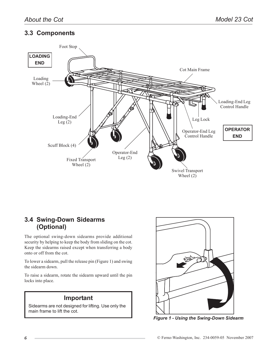#### **3.3 Components**



#### **3.4 Swing-Down Sidearms (Optional)**

The optional swing-down sidearms provide additional security by helping to keep the body from sliding on the cot. Keep the sidearms raised except when transferring a body onto or off from the cot.

To lower a sidearm, pull the release pin (Figure 1) and swing the sidearm down.

To raise a sidearm, rotate the sidearm upward until the pin locks into place.

#### **Important**

Sidearms are not designed for lifting. Use only the main frame to lift the cot.



*Figure 1 - Using the Swing-Down Sidearm*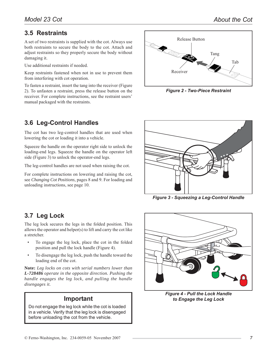#### **3.5 Restraints**

A set of two restraints is supplied with the cot. Always use both restraints to secure the body to the cot. Attach and adjust restraints so they properly secure the body without damaging it.

Use additional restraints if needed.

Keep restraints fastened when not in use to prevent them from interfering with cot operation.

To fasten a restraint, insert the tang into the receiver (Figure 2). To unfasten a restraint, press the release button on the receiver. For complete instructions, see the restraint users' manual packaged with the restraints.



*Figure 2 - Two-Piece Restraint*

#### **3.6 Leg-Control Handles**

The cot has two leg-control handles that are used when lowering the cot or loading it into a vehicle.

Squeeze the handle on the operator right side to unlock the loading-end legs. Squeeze the handle on the operator left side (Figure 3) to unlock the operator-end legs.

The leg-control handles are not used when raising the cot.

For complete instructions on lowering and raising the cot, see *Changing Cot Positions,* pages 8 and 9. For loading and unloading instructions, see page 10.



*Figure 3 - Squeezing a Leg-Control Handle*

#### **3.7 Leg Lock**

The leg lock secures the legs in the folded position. This allows the operator and helper(s) to lift and carry the cot like a stretcher.

- To engage the leg lock, place the cot in the folded position and pull the lock handle (Figure 4).
- To disengage the leg lock, push the handle toward the loading end of the cot.

**Note:** *Leg locks on cots with serial numbers lower than L-728486 operate in the opposite direction. Pushing the handle engages the leg lock, and pulling the handle disengages it.*

#### **Important**

Do not engage the leg lock while the cot is loaded in a vehicle. Verify that the leg lock is disengaged before unloading the cot from the vehicle.



*Figure 4 - Pull the Lock Handle to Engage the Leg Lock*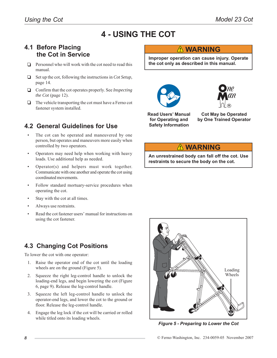# **4 - USING THE COT**

#### **4.1 Before Placing the Cot in Service**

- $\Box$  Personnel who will work with the cot need to read this manual.
- □ Set up the cot, following the instructions in *Cot Setup*, page 14.
- Confirm that the cot operates properly. See *Inspecting the Cot* (page 12).
- $\Box$  The vehicle transporting the cot must have a Ferno cot fastener system installed.

#### **4.2 General Guidelines for Use**

- The cot can be operated and maneuvered by one person, but operates and maneuvers more easily when controlled by two operators.
- Operators may need help when working with heavy loads. Use additional help as needed.
- Operator(s) and helpers must work together. Communicate with one another and operate the cot using coordinated movements.
- Follow standard mortuary-service procedures when operating the cot.
- Stay with the cot at all times.
- Always use restraints.
- Read the cot fastener users' manual for instructions on using the cot fastener.

### **4.3 Changing Cot Positions**

To lower the cot with one operator:

- 1. Raise the operator end of the cot until the loading wheels are on the ground (Figure 5).
- 2. Squeeze the right leg-control handle to unlock the loading-end legs, and begin lowering the cot (Figure 6, page 9). Release the leg-control handle.
- 3. Squeeze the left leg-control handle to unlock the operator-end legs, and lower the cot to the ground or floor. Release the leg-control handle.
- 4. Engage the leg lock if the cot will be carried or rolled while titled onto its loading wheels.

#### **WARNING**

**Improper operation can cause injury. Operate the cot only as described in this manual.**





**Read Users' Manual for Operating and Safety Information**

**Cot May be Operated by One Trained Operator**

#### **WARNING**

**An unrestrained body can fall off the cot. Use restraints to secure the body on the cot.**



*Figure 5 - Preparing to Lower the Cot*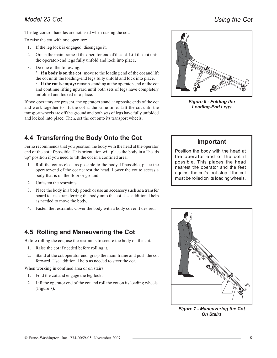The leg-control handles are not used when raising the cot.

To raise the cot with one operator:

- 1. If the leg lock is engaged, disengage it.
- 2. Grasp the main frame at the operator end of the cot. Lift the cot until the operator-end legs fully unfold and lock into place.
- 3. Do one of the following.

° **If a body is on the cot:** move to the loading end of the cot and lift the cot until the loading-end legs fully unfold and lock into place.

° **If the cot is empty:** remain standing at the operator-end of the cot and continue lifting upward until both sets of legs have completely unfolded and locked into place.

If two operators are present, the operators stand at opposite ends of the cot and work together to lift the cot at the same time. Lift the cot until the transport wheels are off the ground and both sets of legs have fully unfolded and locked into place. Then, set the cot onto its transport wheels.



*Figure 6 - Folding the Loading-End Legs*

#### **4.4 Transferring the Body Onto the Cot**

Ferno recommends that you position the body with the head at the operator end of the cot, if possible. This orientation will place the body in a "heads up" position if you need to tilt the cot in a confined area.

- 1. Roll the cot as close as possible to the body. If possible, place the operator-end of the cot nearest the head. Lower the cot to access a body that is on the floor or ground.
- 2. Unfasten the restraints.
- 3. Place the body in a body pouch or use an accessory such as a transfer board to ease transferring the body onto the cot. Use additional help as needed to move the body.
- 4. Fasten the restraints. Cover the body with a body cover if desired.

#### **4.5 Rolling and Maneuvering the Cot**

Before rolling the cot, use the restraints to secure the body on the cot.

- 1. Raise the cot if needed before rolling it.
- 2. Stand at the cot operator end, grasp the main frame and push the cot forward. Use additional help as needed to steer the cot.

When working in confined area or on stairs:

- 1. Fold the cot and engage the leg lock.
- 2. Lift the operator end of the cot and roll the cot on its loading wheels. (Figure 7).

#### **Important**

Position the body with the head at the operator end of the cot if possible. This places the head nearest the operator and the feet against the cot's foot-stop if the cot must be rolled on its loading wheels.



*Figure 7 - Maneuvering the Cot On Stairs*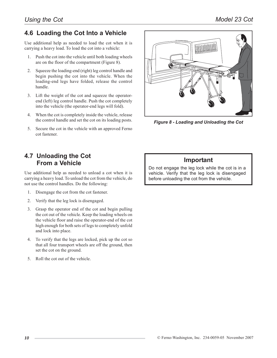#### **4.6 Loading the Cot Into a Vehicle**

Use additional help as needed to load the cot when it is carrying a heavy load. To load the cot into a vehicle:

- 1. Push the cot into the vehicle until both loading wheels are on the floor of the compartment (Figure 8).
- 2. Squeeze the loading-end (right) leg control handle and begin pushing the cot into the vehicle. When the loading-end legs have folded, release the control handle.
- 3. Lift the weight of the cot and squeeze the operatorend (left) leg control handle. Push the cot completely into the vehicle (the operator-end legs will fold).
- 4. When the cot is completely inside the vehicle, release the control handle and set the cot on its loading posts.
- 5. Secure the cot in the vehicle with an approved Ferno cot fastener.



*Figure 8 - Loading and Unloading the Cot*

#### **4.7 Unloading the Cot From a Vehicle**

Use additional help as needed to unload a cot when it is carrying a heavy load. To unload the cot from the vehicle, do not use the control handles. Do the following:

- 1. Disengage the cot from the cot fastener.
- 2. Verify that the leg lock is disengaged.
- 3. Grasp the operator end of the cot and begin pulling the cot out of the vehicle. Keep the loading wheels on the vehicle floor and raise the operator-end of the cot high enough for both sets of legs to completely unfold and lock into place.
- 4. To verify that the legs are locked, pick up the cot so that all four transport wheels are off the ground, then set the cot on the ground.
- 5. Roll the cot out of the vehicle.

#### **Important**

Do not engage the leg lock while the cot is in a vehicle. Verify that the leg lock is disengaged before unloading the cot from the vehicle.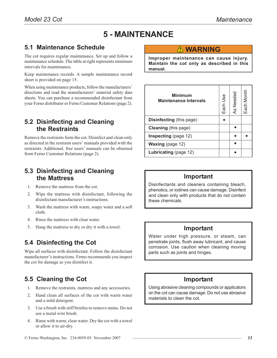# **5 - MAINTENANCE**

#### **5.1 Maintenance Schedule**

The cot requires regular maintenance. Set up and follow a maintenance schedule. The table at right represents minimum intervals for maintenance.

Keep maintenance records. A sample maintenance record sheet is provided on page 15.

When using maintenance products, follow the manufacturers' directions and read the manufacturers' material safety data sheets. You can purchase a recommended disinfectant from your Ferno distributor or Ferno Customer Relations (page 2).

#### **5.2 Disinfecting and Cleaning the Restraints**

Remove the restraints form the cot. Disinfect and clean only as directed in the restraint users' manuals provided with the restraints. Additional, free users' manuals can be obtained from Ferno Customer Relations (page 2).

#### **5.3 Disinfecting and Cleaning the Mattress**

- 1. Remove the mattress from the cot.
- 2. Wipe the mattress with disinfectant, following the disinfectant manufacturer's instructions.
- 3. Wash the mattress with warm, soapy water and a soft cloth.
- 4. Rinse the mattress with clear water.
- 5. Hang the mattress to dry or dry it with a towel.

#### **5.4 Disinfecting the Cot**

Wipe all surfaces with disinfectant. Follow the disinfectant manufacturer's instructions. Ferno recommends you inspect the cot for damage as you disinfect it.

#### **5.5 Cleaning the Cot**

- 1. Remove the restraints, mattress and any accessories.
- 2. Hand clean all surfaces of the cot with warm water and a mild detergent.
- 3. Use a brush with stiff bristles to remove stains. Do not use a metal wire brush.
- 4. Rinse with warm, clear water. Dry the cot with a towel or allow it to air-dry.

#### **WARNING**

**Improper maintenance can cause injury. Maintain the cot only as described in this manual.**

| <b>Minimum</b><br><b>Maintenance Intervals</b> | <b>Jse</b><br>Each <sup>1</sup> | Needed<br>As | Each Month |
|------------------------------------------------|---------------------------------|--------------|------------|
| <b>Disinfecting (this page)</b>                |                                 |              |            |
| <b>Cleaning</b> (this page)                    |                                 |              |            |
| <b>Inspecting</b> (page 12)                    |                                 |              |            |
| <b>Waxing</b> (page 12)                        |                                 |              |            |
| Lubricating (page 12)                          |                                 |              |            |

#### **Important**

Disinfectants and cleaners containing bleach, phenolics, or iodines can cause damage. Disinfect and clean only with products that do not contain these chemicals.

#### **Important**

Water under high pressure, or steam, can penetrate joints, flush away lubricant, and cause corrosion. Use caution when cleaning moving parts such as joints and hinges.

#### **Important**

Using abrasive cleaning compounds or applicators on the cot can cause damage. Do not use abrasive materials to clean the cot.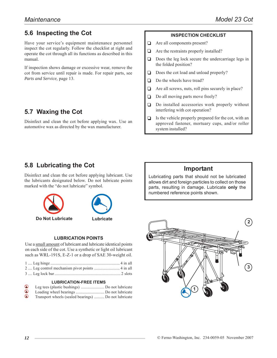#### **5.6 Inspecting the Cot**

Have your service's equipment maintenance personnel inspect the cot regularly. Follow the checklist at right and operate the cot through all its functions as described in this manual.

If inspection shows damage or excessive wear, remove the cot from service until repair is made. For repair parts, see *Parts and Service,* page 13.

#### **5.7 Waxing the Cot**

Disinfect and clean the cot before applying wax. Use an automotive wax as directed by the wax manufacturer.

#### **INSPECTION CHECKLIST**

- $\Box$ Are all components present?
- ❏ Are the restraints properly installed?
- $\Box$ Does the leg lock secure the undercarriage legs in the folded position?
- Does the cot load and unload properly?  $\Box$
- $\Box$ Do the wheels have tread?
- $\Box$ Are all screws, nuts, roll pins securely in place?
- Do all moving parts move freely?  $\Box$
- $\Box$ Do installed accessories work properly without interfering with cot operation?
- O Is the vehicle properly prepared for the cot, with an approved fastener, mortuary cups, and/or roller system installed?

#### **5.8 Lubricating the Cot**

Disinfect and clean the cot before applying lubricant. Use the lubricants designated below. Do not lubricate points marked with the "do not lubricate" symbol.



#### **LUBRICATION POINTS**

Use a small amount of lubricant and lubricate identical points on each side of the cot. Use a synthetic or light oil lubricant such as WRL-191S, E-Z-1 or a drop of SAE 30-weight oil.

#### **LUBRICATION-FREE ITEMS**

| $\circledcirc$ |                                                      |  |
|----------------|------------------------------------------------------|--|
| $\circledcirc$ |                                                      |  |
| $\circledcirc$ | Transport wheels (sealed bearings)  Do not lubricate |  |

#### **Important**

Lubricating parts that should not be lubricated allows dirt and foreign particles to collect on those parts, resulting in damage. Lubricate **only** the numbered reference points shown.

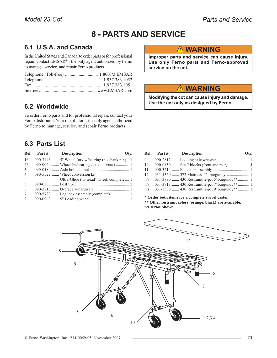*Model 23 Cot*

# **6 - PARTS AND SERVICE**

#### **6.1 U.S.A. and Canada**

In the United States and Canada, to order parts or for professional repair, contact EMSAR® - the only agent authorized by Ferno to manage, service, and repair Ferno products.

#### **6.2 Worldwide**

To order Ferno parts and for professional repair, contact your Ferno distributor. Your distributor is the only agent authorized by Ferno to manage, service, and repair Ferno products.

#### **6.3 Parts List**

| $\text{Ref.}$ Part # | <b>Description</b><br><u> 1980 - Jan Barnett, fransk politiker</u> | Qty. |
|----------------------|--------------------------------------------------------------------|------|
|                      | 1*  090-3446  5" Wheel fork w/bearing (no shank pin)  1            |      |
|                      | 2*  090-0060  Wheel (w/bearings/axle bolt/nut)  1                  |      |
|                      |                                                                    |      |
|                      | 4  090-5522  Wheel conversion kit                                  |      |
|                      | Ultra-Glide (no tread) wheel, complete  1                          |      |
|                      |                                                                    |      |
|                      |                                                                    |      |
|                      |                                                                    |      |
|                      |                                                                    |      |

#### **WARNING**

**Improper parts and service can cause injury. Use only Ferno parts and Ferno-approved service on the cot.**

#### **WARNING**

**Modifying the cot can cause injury and damage. Use the cot only as designed by Ferno.**

|  | Ref. Part # Description                              | Qty. |
|--|------------------------------------------------------|------|
|  |                                                      |      |
|  |                                                      |      |
|  |                                                      |      |
|  |                                                      |      |
|  | n/s  031-3890  430 Restraint, 2-pc. 5' burgundy** 1  |      |
|  | n/s  031-3913  430 Restraint, 2-pc. 7' burgundy**  1 |      |
|  | n/s  031-3306  430 Restraint, 2-pc. 9' burgundy**  1 |      |

**\* Order both items for a complete swivel caster. \*\* Other restraint colors (orange, black) are available. n/s = Not Shown**

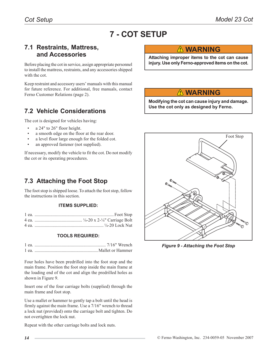# **7 - COT SETUP**

#### **7.1 Restraints, Mattress, and Accessories**

Before placing the cot in service, assign appropriate personnel to install the mattress, restraints, and any accessories shipped with the cot.

Keep restraint and accessory users' manuals with this manual for future reference. For additional, free manuals, contact Ferno Customer Relations (page 2).

#### **7.2 Vehicle Considerations**

The cot is designed for vehicles having:

- a 24" to 26" floor height.
- a smooth edge on the floor at the rear door.
- a level floor large enough for the folded cot.
- an approved fastener (not supplied).

If necessary, modify the vehicle to fit the cot. Do not modify the cot or its operating procedures.

### **7.3 Attaching the Foot Stop**

The foot stop is shipped loose. To attach the foot stop, follow the instructions in this section.

#### **ITEMS SUPPLIED:**

#### **TOOLS REQUIRED:**

Four holes have been predrilled into the foot stop and the main frame. Position the foot stop inside the main frame at the loading end of the cot and align the predrilled holes as shown in Figure 9.

Insert one of the four carriage bolts (supplied) through the main frame and foot stop.

Use a mallet or hammer to gently tap a bolt until the head is firmly against the main frame. Use a 7/16" wrench to thread a lock nut (provided) onto the carriage bolt and tighten. Do not overtighten the lock nut.

Repeat with the other carriage bolts and lock nuts.

#### **WARNING**

**Attaching improper items to the cot can cause injury. Use only Ferno-approved items on the cot.**

#### **WARNING**

**Modifying the cot can cause injury and damage. Use the cot only as designed by Ferno.**



*Figure 9 - Attaching the Foot Stop*